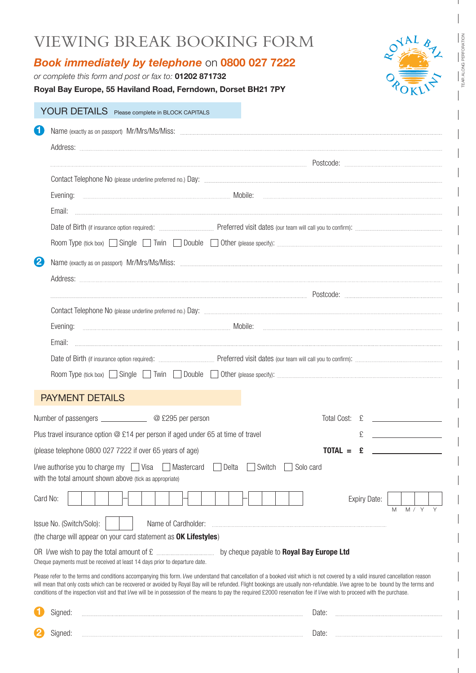### VIEWING BREAK BOOKING FORM

### *Book immediately by telephone* on **0800 027 7222**

*or complete this form and post or fax to:* **01202 871732**

**2**

**Royal Bay Europe, 55 Haviland Road, Ferndown, Dorset BH21 7PY**

### YOUR DETAILS Please complete in BLOCK CAPITALS **1** Name (exactly as on passport) Mr/Mrs/Ms/Miss: Address: extending the extending of the extreme of the extreme of the extreme of the extreme of the extreme of the extreme of the extreme of the extreme of the extreme of the extreme of the extreme of the extreme of the extreme of Contact Telephone No (please underline preferred no.) Day: Evening: Mobile: Email: Date of Birth (if insurance option required): Preferred visit dates (our team will call you to confi rm): Room Type (tick box) Single Twin Double Other (please specify): **2**  Name (exactly as on passport) Mr/Mrs/Ms/Miss: Address: Postcode: Contact Telephone No (please underline preferred no.) Day: Evening: Mobile: Email: Date of Birth (if insurance option required): www.www.www.www.preferred visit dates (our team will call you to confirm): Room Type (tick box)  $\Box$  Single  $\Box$  Twin  $\Box$  Double  $\Box$  Other (please specify): PAYMENT DETAILS Number of passengers \_\_\_\_\_\_\_\_\_\_\_\_\_\_\_\_@ £295 per person Total Cost: £ \_\_\_\_\_\_\_\_\_\_\_\_ Plus travel insurance option @ £14 per person if aged under 65 at time of travel £ (please telephone 0800 027 7222 if over 65 years of age) **TOTAL =**  $\epsilon$ I/we authorise you to charge my  $\Box$  Visa  $\Box$  Mastercard  $\Box$  Delta  $\Box$  Switch  $\Box$  Solo card with the total amount shown above (tick as appropriate) Card No: Expiry Date: M M / Y Y Issue No. (Switch/Solo): Name of Cardholder: (the charge will appear on your card statement as **OK Lifestyles**) OR I/we wish to pay the total amount of £ by cheque payable to **Royal Bay Europe Ltd** Cheque payments must be received at least 14 days prior to departure date. Please refer to the terms and conditions accompanying this form. I/we understand that cancellation of a booked visit which is not covered by a valid insured cancellation reason will mean that only costs which can be recovered or avoided by Royal Bay will be refunded. Flight bookings are usually non-refundable. I/we agree to be bound by the terms and conditions of the inspection visit and that I/we will be in possession of the means to pay the required £2000 reservation fee if I/we wish to proceed with the purchase. Signed: <u>www.wassexuation.com and the state of the state of the state of the state of the state of the state of the state of the state of the state of the state of the state of the state of the state of the state of the st</u>

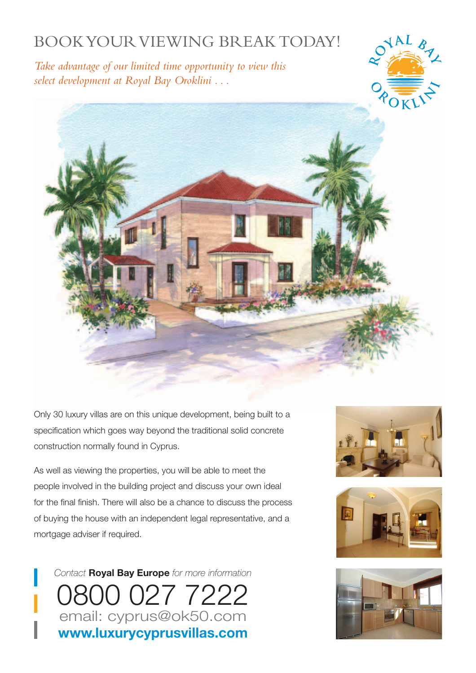### BOOK YOUR VIEWING BREAK TODAY!

*Take advantage of our limited time opportunity to view this select development at Royal Bay Oroklini . . .*





Only 30 luxury villas are on this unique development, being built to a specification which goes way beyond the traditional solid concrete construction normally found in Cyprus.

As well as viewing the properties, you will be able to meet the people involved in the building project and discuss your own ideal for the final finish. There will also be a chance to discuss the process of buying the house with an independent legal representative, and a mortgage adviser if required.







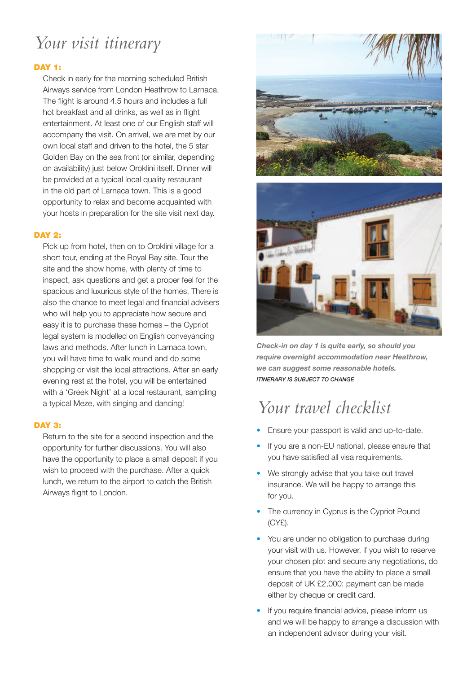## *Your visit itinerary*

#### **DAY 1:**

Check in early for the morning scheduled British Airways service from London Heathrow to Larnaca. The flight is around 4.5 hours and includes a full hot breakfast and all drinks, as well as in flight entertainment. At least one of our English staff will accompany the visit. On arrival, we are met by our own local staff and driven to the hotel, the 5 star Golden Bay on the sea front (or similar, depending on availability) just below Oroklini itself. Dinner will be provided at a typical local quality restaurant in the old part of Larnaca town. This is a good opportunity to relax and become acquainted with your hosts in preparation for the site visit next day.

#### **DAY 2:**

Pick up from hotel, then on to Oroklini village for a short tour, ending at the Royal Bay site. Tour the site and the show home, with plenty of time to inspect, ask questions and get a proper feel for the spacious and luxurious style of the homes. There is also the chance to meet legal and financial advisers who will help you to appreciate how secure and easy it is to purchase these homes – the Cypriot legal system is modelled on English conveyancing laws and methods. After lunch in Larnaca town, you will have time to walk round and do some shopping or visit the local attractions. After an early evening rest at the hotel, you will be entertained with a 'Greek Night' at a local restaurant, sampling a typical Meze, with singing and dancing!

#### **DAY 3:**

Return to the site for a second inspection and the opportunity for further discussions. You will also have the opportunity to place a small deposit if you wish to proceed with the purchase. After a quick lunch, we return to the airport to catch the British Airways flight to London.





*Check-in on day 1 is quite early, so should you require overnight accommodation near Heathrow, we can suggest some reasonable hotels. ITINERARY IS SUBJECT TO CHANGE*

# *Your travel checklist*

- Ensure your passport is valid and up-to-date.
- If you are a non-EU national, please ensure that you have satisfied all visa requirements.
- We strongly advise that you take out travel insurance. We will be happy to arrange this for you.
- The currency in Cyprus is the Cypriot Pound  $(CYF)$ .
- You are under no obligation to purchase during your visit with us. However, if you wish to reserve your chosen plot and secure any negotiations, do ensure that you have the ability to place a small deposit of UK £2,000: payment can be made either by cheque or credit card.
- If you require financial advice, please inform us and we will be happy to arrange a discussion with an independent advisor during your visit.